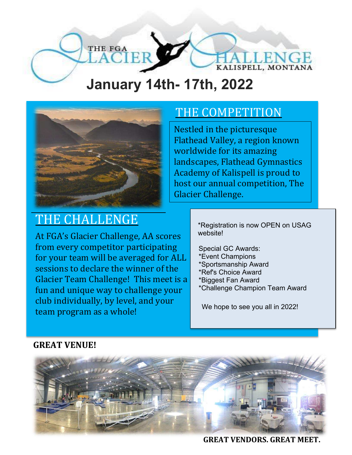

# **January 16th & 17th January 14th- 17th, 2022 , 2021**



## THE CHALLENGE

At FGA's Glacier Challenge, AA scores from every competitor participating for your team will be averaged for ALL sessions to declare the winner of the Glacier Team Challenge! This meet is a fun and unique way to challenge your club individually, by level, and your team program as a whole!

#### THE COMPETITION

Nestled in the picturesque Flathead Valley, a region known worldwide for its amazing landscapes, Flathead Gymnastics Academy of Kalispell is proud to host our annual competition, The Glacier Challenge.

> \*Registration is now OPEN on USAG Due to build concerns affected by the budgeting concerns affected by the website!

Special GC Awards:<br>\*Event Chempions

- \*Event Champions
- he vent Champions<br>\*Sportsmanship Award
- \*Ref's Choice Award
- A link with the leo options will be sent \*Biggest Fan Award
- \*Challenge Champion Team Award

We hope to see you all in 2022!

#### **GREAT VENUE!**



**GREAT VENDORS. GREAT MEET.**